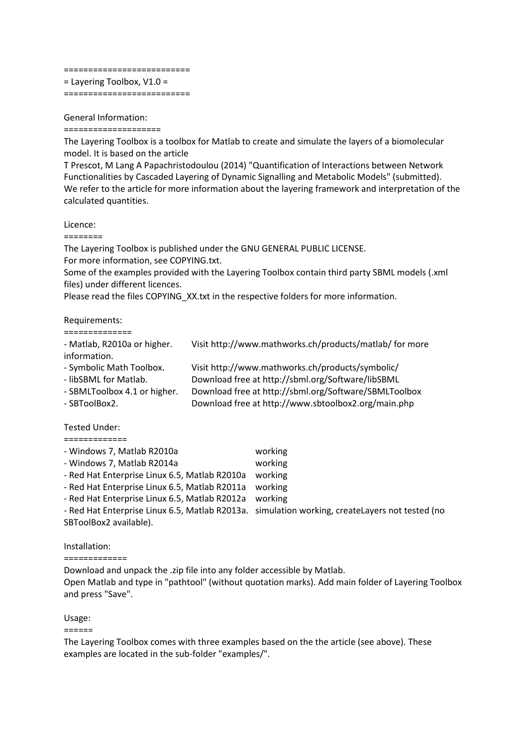#### ==========================

= Layering Toolbox, V1.0 =

==========================

## General Information:

#### ====================

The Layering Toolbox is a toolbox for Matlab to create and simulate the layers of a biomolecular model. It is based on the article

T Prescot, M Lang A Papachristodoulou (2014) "Quantification of Interactions between Network Functionalities by Cascaded Layering of Dynamic Signalling and Metabolic Models" (submitted). We refer to the article for more information about the layering framework and interpretation of the calculated quantities.

## Licence:

========

The Layering Toolbox is published under the GNU GENERAL PUBLIC LICENSE. For more information, see COPYING.txt.

Some of the examples provided with the Layering Toolbox contain third party SBML models (.xml files) under different licences.

Please read the files COPYING XX.txt in the respective folders for more information.

## Requirements:

| -------------- |  |  |  |  |  |  |  |
|----------------|--|--|--|--|--|--|--|
| ______________ |  |  |  |  |  |  |  |
|                |  |  |  |  |  |  |  |
|                |  |  |  |  |  |  |  |

| - Matlab, R2010a or higher.<br>information. | Visit http://www.mathworks.ch/products/matlab/ for more |
|---------------------------------------------|---------------------------------------------------------|
| - Symbolic Math Toolbox.                    | Visit http://www.mathworks.ch/products/symbolic/        |
| - libSBML for Matlab.                       | Download free at http://sbml.org/Software/libSBML       |
| - SBMLToolbox 4.1 or higher.                | Download free at http://sbml.org/Software/SBMLToolbox   |
| - SBToolBox2.                               | Download free at http://www.sbtoolbox2.org/main.php     |

## Tested Under:

#### =============

| - Windows 7, Matlab R2010a                    | working                                                                                        |
|-----------------------------------------------|------------------------------------------------------------------------------------------------|
| - Windows 7, Matlab R2014a                    | working                                                                                        |
| - Red Hat Enterprise Linux 6.5, Matlab R2010a | working                                                                                        |
| - Red Hat Enterprise Linux 6.5, Matlab R2011a | working                                                                                        |
| - Red Hat Enterprise Linux 6.5, Matlab R2012a | working                                                                                        |
|                                               | - Red Hat Enterprise Linux 6.5, Matlab R2013a. simulation working, createLayers not tested (no |
| SBToolBox2 available).                        |                                                                                                |
|                                               |                                                                                                |

## Installation:

=============

Download and unpack the .zip file into any folder accessible by Matlab. Open Matlab and type in "pathtool" (without quotation marks). Add main folder of Layering Toolbox and press "Save".

# Usage:

======

The Layering Toolbox comes with three examples based on the the article (see above). These examples are located in the sub-folder "examples/".